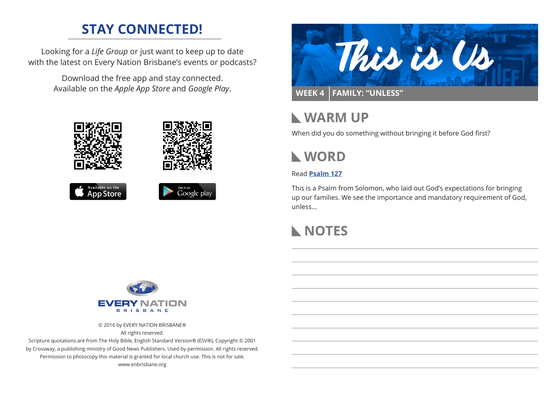# **STAY CONNECTED!**

Looking for a *Life Group* or just want to keep up to date with the latest on Every Nation Brisbane's events or podcasts?

> Download the free app and stay connected. Available on the *Apple App Store* and *Google Play*.





# **WARM UP**

When did you do something without bringing it before God first?



### Read **[Psalm 127](https://www.biblegateway.com/passage/?search=Psalm+127&version=ESV)**

This is a Psalm from Solomon, who laid out God's expectations for bringing up our families. We see the importance and mandatory requirement of God, unless...

## **NOTES**



© 2016 by EVERY NATION BRISBANE®

All rights reserved.

Scripture quotations are from The Holy Bible, English Standard Version® (ESV®), Copyright © 2001 by Crossway, a publishing ministry of Good News Publishers. Used by permission. All rights reserved. Permission to photocopy this material is granted for local church use. This is not for sale. www.enbrisbane.org